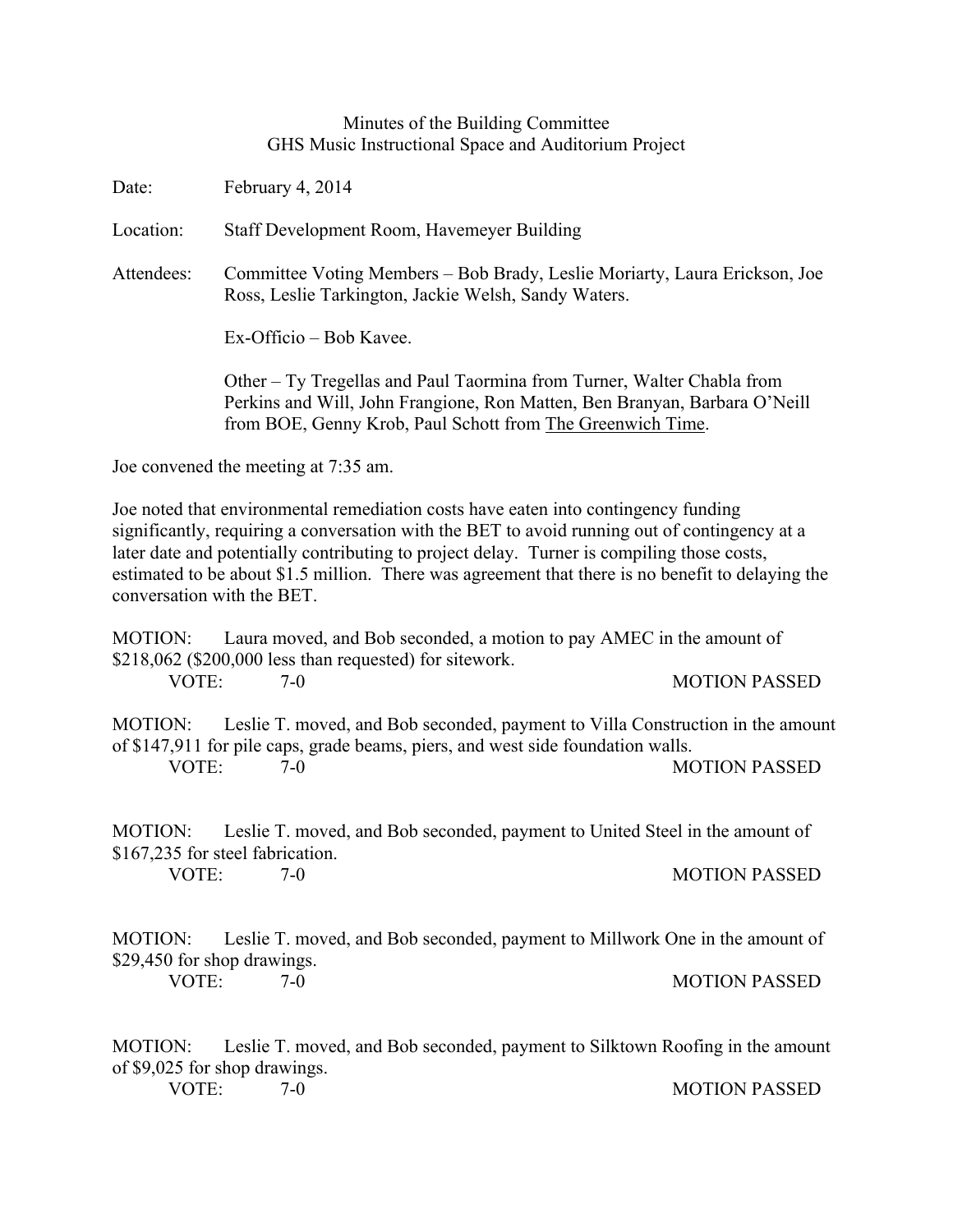## Minutes of the Building Committee GHS Music Instructional Space and Auditorium Project

Date: February 4, 2014

Location: Staff Development Room, Havemeyer Building

Attendees: Committee Voting Members – Bob Brady, Leslie Moriarty, Laura Erickson, Joe Ross, Leslie Tarkington, Jackie Welsh, Sandy Waters.

Ex-Officio – Bob Kavee.

Other – Ty Tregellas and Paul Taormina from Turner, Walter Chabla from Perkins and Will, John Frangione, Ron Matten, Ben Branyan, Barbara O'Neill from BOE, Genny Krob, Paul Schott from The Greenwich Time.

Joe convened the meeting at 7:35 am.

Joe noted that environmental remediation costs have eaten into contingency funding significantly, requiring a conversation with the BET to avoid running out of contingency at a later date and potentially contributing to project delay. Turner is compiling those costs, estimated to be about \$1.5 million. There was agreement that there is no benefit to delaying the conversation with the BET.

MOTION: Laura moved, and Bob seconded, a motion to pay AMEC in the amount of \$218,062 (\$200,000 less than requested) for sitework. VOTE: 7-0 7-0 MOTION PASSED

MOTION: Leslie T. moved, and Bob seconded, payment to Villa Construction in the amount of \$147,911 for pile caps, grade beams, piers, and west side foundation walls. VOTE: 7-0 MOTION PASSED

MOTION: Leslie T. moved, and Bob seconded, payment to United Steel in the amount of \$167,235 for steel fabrication.

VOTE: 7-0 MOTION PASSED

MOTION: Leslie T. moved, and Bob seconded, payment to Millwork One in the amount of \$29,450 for shop drawings.

VOTE: 7-0 7-0 MOTION PASSED

MOTION: Leslie T. moved, and Bob seconded, payment to Silktown Roofing in the amount of \$9,025 for shop drawings.

VOTE: 7-0 MOTION PASSED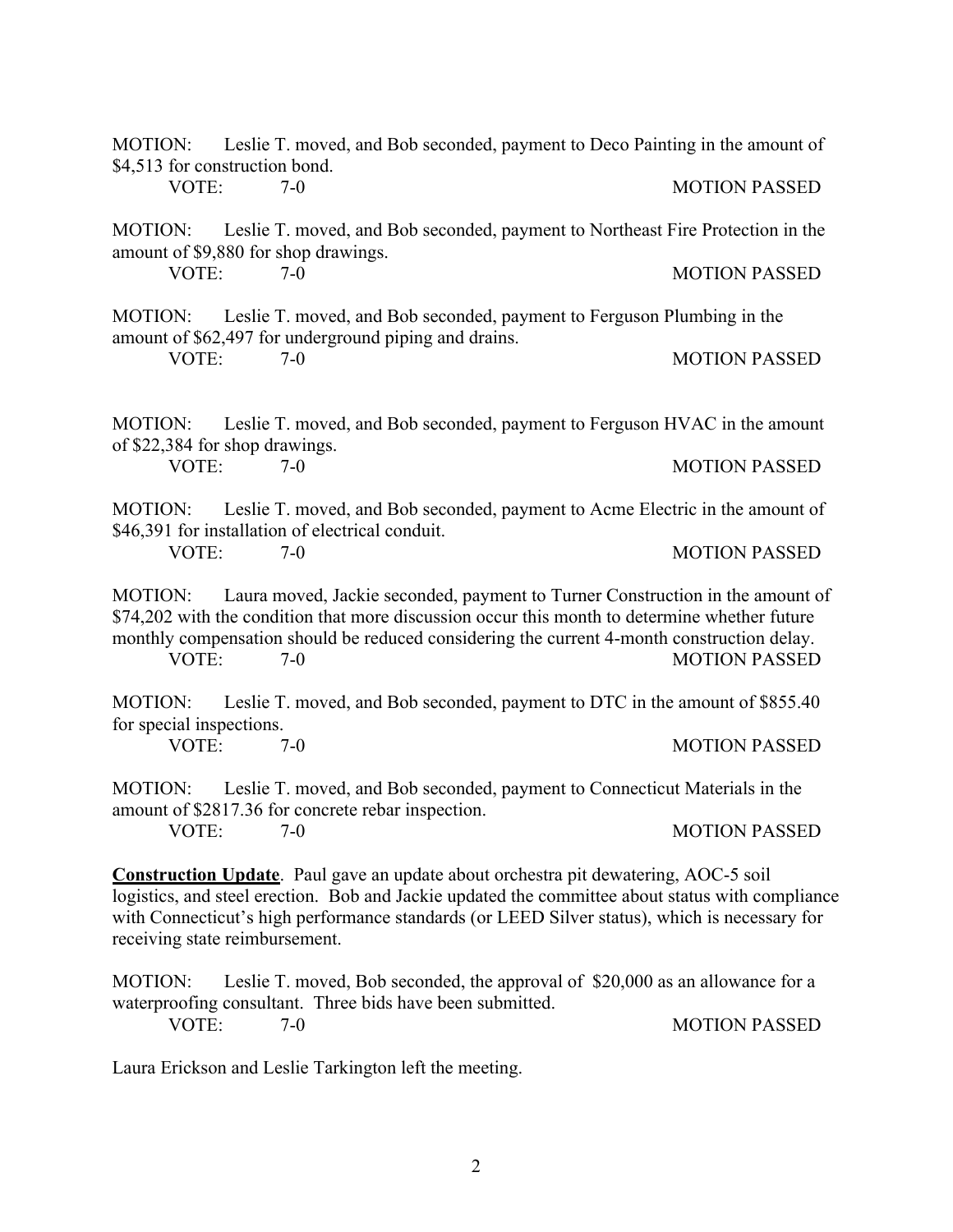| \$4,513 for construction bond.                                                                                                                                                                                                                                                                                                           |       | MOTION: Leslie T. moved, and Bob seconded, payment to Deco Painting in the amount of                                             |                      |
|------------------------------------------------------------------------------------------------------------------------------------------------------------------------------------------------------------------------------------------------------------------------------------------------------------------------------------------|-------|----------------------------------------------------------------------------------------------------------------------------------|----------------------|
| VOTE:                                                                                                                                                                                                                                                                                                                                    |       | $7-0$                                                                                                                            | <b>MOTION PASSED</b> |
| <b>MOTION:</b><br>amount of \$9,880 for shop drawings.                                                                                                                                                                                                                                                                                   |       | Leslie T. moved, and Bob seconded, payment to Northeast Fire Protection in the                                                   |                      |
| VOTE:                                                                                                                                                                                                                                                                                                                                    |       | $7-0$                                                                                                                            | <b>MOTION PASSED</b> |
| MOTION:                                                                                                                                                                                                                                                                                                                                  |       | Leslie T. moved, and Bob seconded, payment to Ferguson Plumbing in the<br>amount of \$62,497 for underground piping and drains.  |                      |
| VOTE:                                                                                                                                                                                                                                                                                                                                    | $7-0$ |                                                                                                                                  | <b>MOTION PASSED</b> |
| Leslie T. moved, and Bob seconded, payment to Ferguson HVAC in the amount<br>MOTION:<br>of \$22,384 for shop drawings.                                                                                                                                                                                                                   |       |                                                                                                                                  |                      |
| VOTE:                                                                                                                                                                                                                                                                                                                                    |       | $7-0$                                                                                                                            | <b>MOTION PASSED</b> |
| MOTION:                                                                                                                                                                                                                                                                                                                                  |       | Leslie T. moved, and Bob seconded, payment to Acme Electric in the amount of<br>\$46,391 for installation of electrical conduit. |                      |
| VOTE:                                                                                                                                                                                                                                                                                                                                    | $7-0$ |                                                                                                                                  | <b>MOTION PASSED</b> |
| Laura moved, Jackie seconded, payment to Turner Construction in the amount of<br><b>MOTION:</b><br>\$74,202 with the condition that more discussion occur this month to determine whether future<br>monthly compensation should be reduced considering the current 4-month construction delay.<br>VOTE:<br><b>MOTION PASSED</b><br>$7-0$ |       |                                                                                                                                  |                      |
| Leslie T. moved, and Bob seconded, payment to DTC in the amount of \$855.40<br><b>MOTION:</b><br>for special inspections.                                                                                                                                                                                                                |       |                                                                                                                                  |                      |
| VOTE:                                                                                                                                                                                                                                                                                                                                    |       | $7-0$                                                                                                                            | <b>MOTION PASSED</b> |
| <b>MOTION:</b><br>Leslie T. moved, and Bob seconded, payment to Connecticut Materials in the<br>amount of \$2817.36 for concrete rebar inspection.                                                                                                                                                                                       |       |                                                                                                                                  |                      |
| VOTE:                                                                                                                                                                                                                                                                                                                                    |       | $7-0$                                                                                                                            | <b>MOTION PASSED</b> |
| <b>Construction Update</b> . Paul gave an update about orchestra pit dewatering, AOC-5 soil<br>logistics, and steel erection. Bob and Jackie updated the committee about status with compliance<br>with Connecticut's high performance standards (or LEED Silver status), which is necessary for<br>receiving state reimbursement.       |       |                                                                                                                                  |                      |
| <b>MOTION:</b><br>Leslie T. moved, Bob seconded, the approval of \$20,000 as an allowance for a<br>waterproofing consultant. Three bids have been submitted.                                                                                                                                                                             |       |                                                                                                                                  |                      |
| VOTE:                                                                                                                                                                                                                                                                                                                                    |       | $7 - 0$                                                                                                                          | <b>MOTION PASSED</b> |

Laura Erickson and Leslie Tarkington left the meeting.